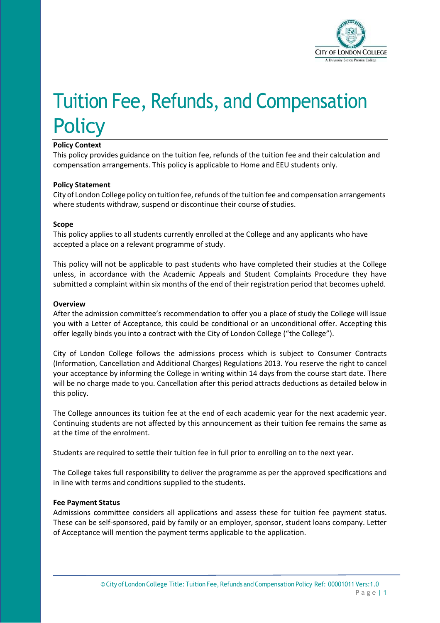

# Tuition Fee, Refunds, and Compensation **Policy**

# **Policy Context**

This policy provides guidance on the tuition fee, refunds of the tuition fee and their calculation and compensation arrangements. This policy is applicable to Home and EEU students only.

## **Policy Statement**

City of London College policy on tuition fee, refunds of the tuition fee and compensation arrangements where students withdraw, suspend or discontinue their course of studies.

#### **Scope**

This policy applies to all students currently enrolled at the College and any applicants who have accepted a place on a relevant programme of study.

This policy will not be applicable to past students who have completed their studies at the College unless, in accordance with the Academic Appeals and Student Complaints Procedure they have submitted a complaint within six months of the end of their registration period that becomes upheld.

#### **Overview**

After the admission committee's recommendation to offer you a place of study the College will issue you with a Letter of Acceptance, this could be conditional or an unconditional offer. Accepting this offer legally binds you into a contract with the City of London College ("the College").

City of London College follows the admissions process which is subject to Consumer Contracts (Information, Cancellation and Additional Charges) Regulations 2013. You reserve the right to cancel your acceptance by informing the College in writing within 14 days from the course start date. There will be no charge made to you. Cancellation after this period attracts deductions as detailed below in this policy.

The College announces its tuition fee at the end of each academic year for the next academic year. Continuing students are not affected by this announcement as their tuition fee remains the same as at the time of the enrolment.

Students are required to settle their tuition fee in full prior to enrolling on to the next year.

The College takes full responsibility to deliver the programme as per the approved specifications and in line with terms and conditions supplied to the students.

#### **Fee Payment Status**

Admissions committee considers all applications and assess these for tuition fee payment status. These can be self-sponsored, paid by family or an employer, sponsor, student loans company. Letter of Acceptance will mention the payment terms applicable to the application.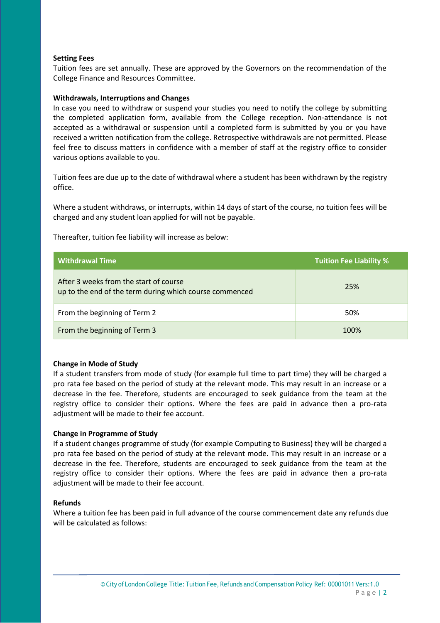### **Setting Fees**

Tuition fees are set annually. These are approved by the Governors on the recommendation of the College Finance and Resources Committee.

#### **Withdrawals, Interruptions and Changes**

In case you need to withdraw or suspend your studies you need to notify the college by submitting the completed application form, available from the College reception. Non-attendance is not accepted as a withdrawal or suspension until a completed form is submitted by you or you have received a written notification from the college. Retrospective withdrawals are not permitted. Please feel free to discuss matters in confidence with a member of staff at the registry office to consider various options available to you.

Tuition fees are due up to the date of withdrawal where a student has been withdrawn by the registry office.

Where a student withdraws, or interrupts, within 14 days of start of the course, no tuition fees will be charged and any student loan applied for will not be payable.

| <b>Withdrawal Time</b>                                                                            | <b>Tuition Fee Liability %</b> |
|---------------------------------------------------------------------------------------------------|--------------------------------|
| After 3 weeks from the start of course<br>up to the end of the term during which course commenced | 25%                            |
| From the beginning of Term 2                                                                      | 50%                            |
| From the beginning of Term 3                                                                      | 100%                           |

Thereafter, tuition fee liability will increase as below:

#### **Change in Mode of Study**

If a student transfers from mode of study (for example full time to part time) they will be charged a pro rata fee based on the period of study at the relevant mode. This may result in an increase or a decrease in the fee. Therefore, students are encouraged to seek guidance from the team at the registry office to consider their options. Where the fees are paid in advance then a pro-rata adjustment will be made to their fee account.

#### **Change in Programme of Study**

If a student changes programme of study (for example Computing to Business) they will be charged a pro rata fee based on the period of study at the relevant mode. This may result in an increase or a decrease in the fee. Therefore, students are encouraged to seek guidance from the team at the registry office to consider their options. Where the fees are paid in advance then a pro-rata adjustment will be made to their fee account.

#### **Refunds**

Where a tuition fee has been paid in full advance of the course commencement date any refunds due will be calculated as follows: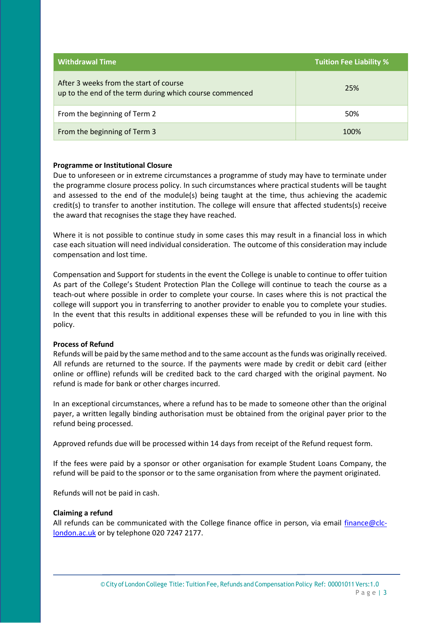| <b>Withdrawal Time</b>                                                                            | <b>Tuition Fee Liability %</b> |
|---------------------------------------------------------------------------------------------------|--------------------------------|
| After 3 weeks from the start of course<br>up to the end of the term during which course commenced | 25%                            |
| From the beginning of Term 2                                                                      | 50%                            |
| From the beginning of Term 3                                                                      | 100%                           |

#### **Programme or Institutional Closure**

Due to unforeseen or in extreme circumstances a programme of study may have to terminate under the programme closure process policy. In such circumstances where practical students will be taught and assessed to the end of the module(s) being taught at the time, thus achieving the academic credit(s) to transfer to another institution. The college will ensure that affected students(s) receive the award that recognises the stage they have reached.

Where it is not possible to continue study in some cases this may result in a financial loss in which case each situation will need individual consideration. The outcome of this consideration may include compensation and lost time.

Compensation and Support for students in the event the College is unable to continue to offer tuition As part of the College's Student Protection Plan the College will continue to teach the course as a teach-out where possible in order to complete your course. In cases where this is not practical the college will support you in transferring to another provider to enable you to complete your studies. In the event that this results in additional expenses these will be refunded to you in line with this policy.

#### **Process of Refund**

Refunds will be paid by the same method and to the same account as the funds was originally received. All refunds are returned to the source. If the payments were made by credit or debit card (either online or offline) refunds will be credited back to the card charged with the original payment. No refund is made for bank or other charges incurred.

In an exceptional circumstances, where a refund has to be made to someone other than the original payer, a written legally binding authorisation must be obtained from the original payer prior to the refund being processed.

Approved refunds due will be processed within 14 days from receipt of the Refund request form.

If the fees were paid by a sponsor or other organisation for example Student Loans Company, the refund will be paid to the sponsor or to the same organisation from where the payment originated.

Refunds will not be paid in cash.

#### **Claiming a refund**

All refunds can be communicated with the College finance office in person, via email finance  $@clc$ [london.ac.uk](mailto:finance@clc-london.ac.uk) or by telephone 020 7247 2177.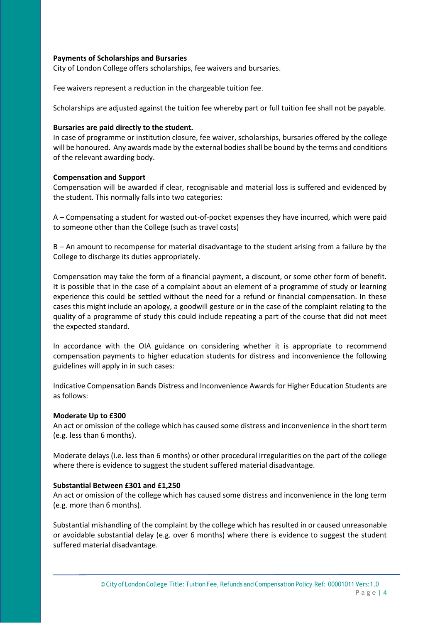### **Payments of Scholarships and Bursaries**

City of London College offers scholarships, fee waivers and bursaries.

Fee waivers represent a reduction in the chargeable tuition fee.

Scholarships are adjusted against the tuition fee whereby part or full tuition fee shall not be payable.

### **Bursaries are paid directly to the student.**

In case of programme or institution closure, fee waiver, scholarships, bursaries offered by the college will be honoured. Any awards made by the external bodiesshall be bound by the terms and conditions of the relevant awarding body.

## **Compensation and Support**

Compensation will be awarded if clear, recognisable and material loss is suffered and evidenced by the student. This normally falls into two categories:

A – Compensating a student for wasted out-of-pocket expenses they have incurred, which were paid to someone other than the College (such as travel costs)

B – An amount to recompense for material disadvantage to the student arising from a failure by the College to discharge its duties appropriately.

Compensation may take the form of a financial payment, a discount, or some other form of benefit. It is possible that in the case of a complaint about an element of a programme of study or learning experience this could be settled without the need for a refund or financial compensation. In these cases this might include an apology, a goodwill gesture or in the case of the complaint relating to the quality of a programme of study this could include repeating a part of the course that did not meet the expected standard.

In accordance with the OIA guidance on considering whether it is appropriate to recommend compensation payments to higher education students for distress and inconvenience the following guidelines will apply in in such cases:

Indicative Compensation Bands Distress and Inconvenience Awards for Higher Education Students are as follows:

#### **Moderate Up to £300**

An act or omission of the college which has caused some distress and inconvenience in the short term (e.g. less than 6 months).

Moderate delays (i.e. less than 6 months) or other procedural irregularities on the part of the college where there is evidence to suggest the student suffered material disadvantage.

# **Substantial Between £301 and £1,250**

An act or omission of the college which has caused some distress and inconvenience in the long term (e.g. more than 6 months).

Substantial mishandling of the complaint by the college which has resulted in or caused unreasonable or avoidable substantial delay (e.g. over 6 months) where there is evidence to suggest the student suffered material disadvantage.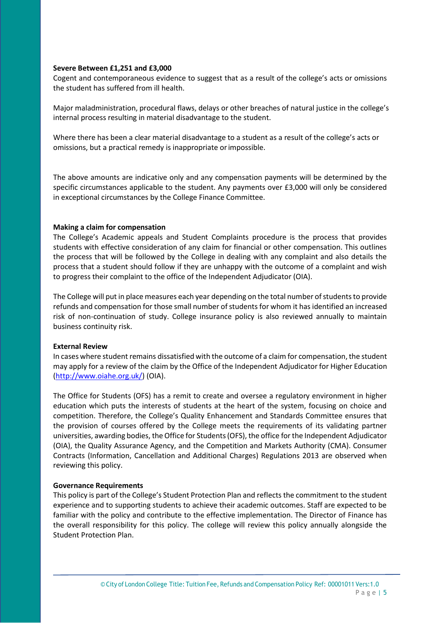#### **Severe Between £1,251 and £3,000**

Cogent and contemporaneous evidence to suggest that as a result of the college's acts or omissions the student has suffered from ill health.

Major maladministration, procedural flaws, delays or other breaches of natural justice in the college's internal process resulting in material disadvantage to the student.

Where there has been a clear material disadvantage to a student as a result of the college's acts or omissions, but a practical remedy is inappropriate orimpossible.

The above amounts are indicative only and any compensation payments will be determined by the specific circumstances applicable to the student. Any payments over £3,000 will only be considered in exceptional circumstances by the College Finance Committee.

#### **Making a claim for compensation**

The College's Academic appeals and Student Complaints procedure is the process that provides students with effective consideration of any claim for financial or other compensation. This outlines the process that will be followed by the College in dealing with any complaint and also details the process that a student should follow if they are unhappy with the outcome of a complaint and wish to progress their complaint to the office of the Independent Adjudicator (OIA).

The College will put in place measures each year depending on the total number of students to provide refunds and compensation for those small number of students for whom it has identified an increased risk of non-continuation of study. College insurance policy is also reviewed annually to maintain business continuity risk.

#### **External Review**

In cases where student remains dissatisfied with the outcome of a claim for compensation, the student may apply for a review of the claim by the Office of the Independent Adjudicator for Higher Education [\(http://www.oiahe.org.uk/\)](http://www.oiahe.org.uk/) (OIA).

The Office for Students (OFS) has a remit to create and oversee a regulatory environment in higher education which puts the interests of students at the heart of the system, focusing on choice and competition. Therefore, the College's Quality Enhancement and Standards Committee ensures that the provision of courses offered by the College meets the requirements of its validating partner universities, awarding bodies, theOffice for Students(OFS), the office forthe Independent Adjudicator (OIA), the Quality Assurance Agency, and the Competition and Markets Authority (CMA). Consumer Contracts (Information, Cancellation and Additional Charges) Regulations 2013 are observed when reviewing this policy.

#### **Governance Requirements**

This policy is part of the College's Student Protection Plan and reflects the commitment to the student experience and to supporting students to achieve their academic outcomes. Staff are expected to be familiar with the policy and contribute to the effective implementation. The Director of Finance has the overall responsibility for this policy. The college will review this policy annually alongside the Student Protection Plan.